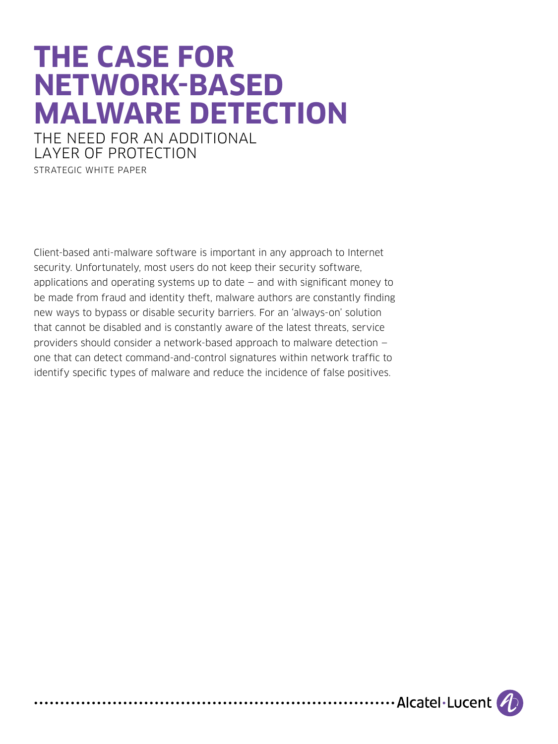# **The Case for Network-based Malware Detection**

The need for an additional layer of protection Strategic White Paper

Client-based anti-malware software is important in any approach to Internet security. Unfortunately, most users do not keep their security software, applications and operating systems up to date — and with significant money to be made from fraud and identity theft, malware authors are constantly finding new ways to bypass or disable security barriers. For an 'always-on' solution that cannot be disabled and is constantly aware of the latest threats, service providers should consider a network-based approach to malware detection one that can detect command-and-control signatures within network traffic to identify specific types of malware and reduce the incidence of false positives.

....................... Alcatel Lucent (2)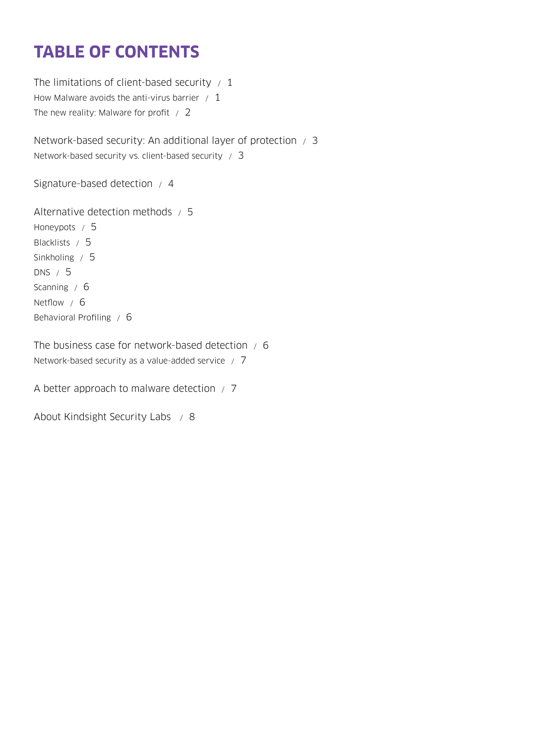# **Table of contents**

The limitations of client-based security  $/1$ How Malware avoids the anti-virus barrier  $/1$ The new reality: Malware for profit  $/2$ 

[Network-based security: An additional layer of protection / 3](#page-4-0) [Network-based security vs. client-based security / 3](#page-4-0)

[Signature-based detection / 4](#page-5-0)

[Alternative detection methods / 5](#page-6-0) [Honeypots / 5](#page-6-0) [Blacklists / 5](#page-6-0) [Sinkholing / 5](#page-6-0) [DNS / 5](#page-6-0) [Scanning / 6](#page-7-0) [Netflow / 6](#page-7-0) [Behavioral Profiling / 6](#page-7-0)

[The business case for network-based detection / 6](#page-7-0) [Network-based security as a value-added service / 7](#page-8-0)

[A better approach to malware detection / 7](#page-8-0)

[About Kindsight Security Labs / 8](#page-9-0)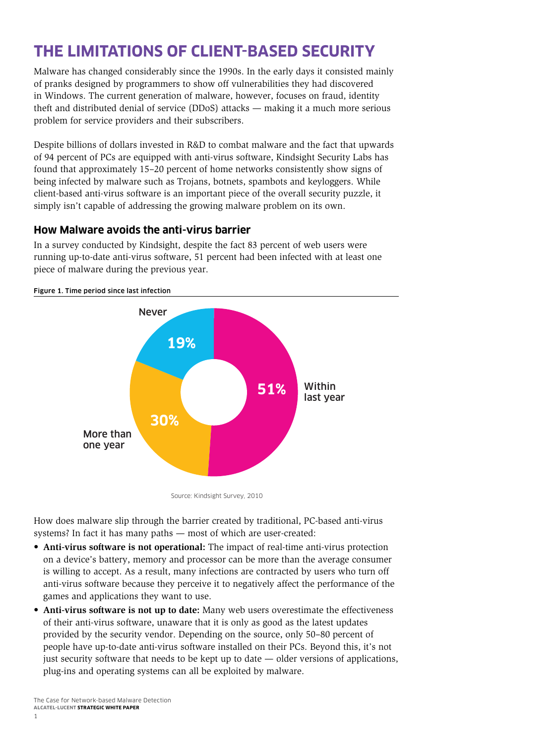# <span id="page-2-0"></span>**The limitations of client-based security**

Malware has changed considerably since the 1990s. In the early days it consisted mainly of pranks designed by programmers to show off vulnerabilities they had discovered in Windows. The current generation of malware, however, focuses on fraud, identity theft and distributed denial of service (DDoS) attacks — making it a much more serious problem for service providers and their subscribers.

Despite billions of dollars invested in R&D to combat malware and the fact that upwards of 94 percent of PCs are equipped with anti-virus software, Kindsight Security Labs has found that approximately 15–20 percent of home networks consistently show signs of being infected by malware such as Trojans, botnets, spambots and keyloggers. While client-based anti-virus software is an important piece of the overall security puzzle, it simply isn't capable of addressing the growing malware problem on its own.

#### **How Malware avoids the anti-virus barrier**

In a survey conducted by Kindsight, despite the fact 83 percent of web users were running up-to-date anti-virus software, 51 percent had been infected with at least one piece of malware during the previous year.



Figure 1. Time period since last infection

Source: Kindsight Survey, 2010

How does malware slip through the barrier created by traditional, PC-based anti-virus systems? In fact it has many paths — most of which are user-created:

- • **Anti-virus software is not operational:** The impact of real-time anti-virus protection on a device's battery, memory and processor can be more than the average consumer is willing to accept. As a result, many infections are contracted by users who turn off anti-virus software because they perceive it to negatively affect the performance of the games and applications they want to use.
- • **Anti-virus software is not up to date:** Many web users overestimate the effectiveness of their anti-virus software, unaware that it is only as good as the latest updates provided by the security vendor. Depending on the source, only 50–80 percent of people have up-to-date anti-virus software installed on their PCs. Beyond this, it's not just security software that needs to be kept up to date — older versions of applications, plug-ins and operating systems can all be exploited by malware.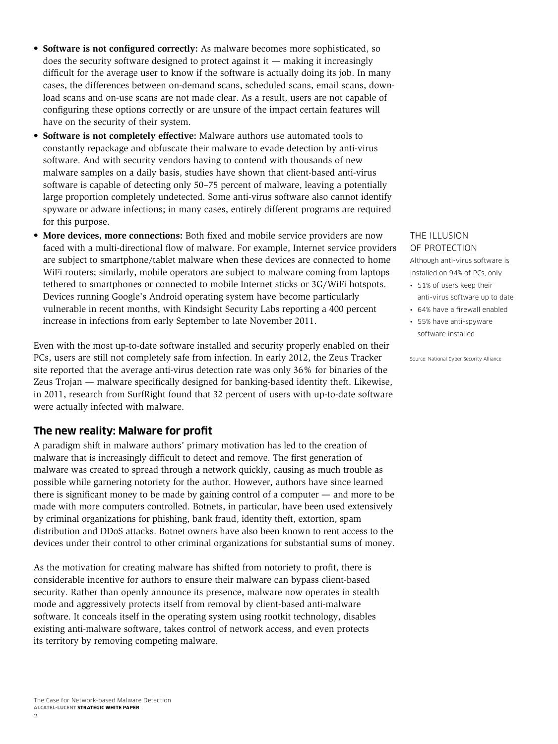- <span id="page-3-0"></span>• **Software is not configured correctly:** As malware becomes more sophisticated, so does the security software designed to protect against it — making it increasingly difficult for the average user to know if the software is actually doing its job. In many cases, the differences between on-demand scans, scheduled scans, email scans, download scans and on-use scans are not made clear. As a result, users are not capable of configuring these options correctly or are unsure of the impact certain features will have on the security of their system.
- • **Software is not completely effective:** Malware authors use automated tools to constantly repackage and obfuscate their malware to evade detection by anti-virus software. And with security vendors having to contend with thousands of new malware samples on a daily basis, studies have shown that client-based anti-virus software is capable of detecting only 50–75 percent of malware, leaving a potentially large proportion completely undetected. Some anti-virus software also cannot identify spyware or adware infections; in many cases, entirely different programs are required for this purpose.
- More devices, more connections: Both fixed and mobile service providers are now faced with a multi-directional flow of malware. For example, Internet service providers are subject to smartphone/tablet malware when these devices are connected to home WiFi routers; similarly, mobile operators are subject to malware coming from laptops tethered to smartphones or connected to mobile Internet sticks or 3G/WiFi hotspots. Devices running Google's Android operating system have become particularly vulnerable in recent months, with Kindsight Security Labs reporting a 400 percent increase in infections from early September to late November 2011.

Even with the most up-to-date software installed and security properly enabled on their PCs, users are still not completely safe from infection. In early 2012, the Zeus Tracker site reported that the average anti-virus detection rate was only 36% for binaries of the Zeus Trojan — malware specifically designed for banking-based identity theft. Likewise, in 2011, research from SurfRight found that 32 percent of users with up-to-date software were actually infected with malware.

#### **The new reality: Malware for profit**

A paradigm shift in malware authors' primary motivation has led to the creation of malware that is increasingly difficult to detect and remove. The first generation of malware was created to spread through a network quickly, causing as much trouble as possible while garnering notoriety for the author. However, authors have since learned there is significant money to be made by gaining control of a computer — and more to be made with more computers controlled. Botnets, in particular, have been used extensively by criminal organizations for phishing, bank fraud, identity theft, extortion, spam distribution and DDoS attacks. Botnet owners have also been known to rent access to the devices under their control to other criminal organizations for substantial sums of money.

As the motivation for creating malware has shifted from notoriety to profit, there is considerable incentive for authors to ensure their malware can bypass client-based security. Rather than openly announce its presence, malware now operates in stealth mode and aggressively protects itself from removal by client-based anti-malware software. It conceals itself in the operating system using rootkit technology, disables existing anti-malware software, takes control of network access, and even protects its territory by removing competing malware.

#### THE ILLUSION OF PROTECTION

Although anti-virus software is installed on 94% of PCs, only

- • 51% of users keep their anti-virus software up to date
- • 64% have a firewall enabled
- • 55% have anti-spyware software installed

Source: National Cyber Security Alliance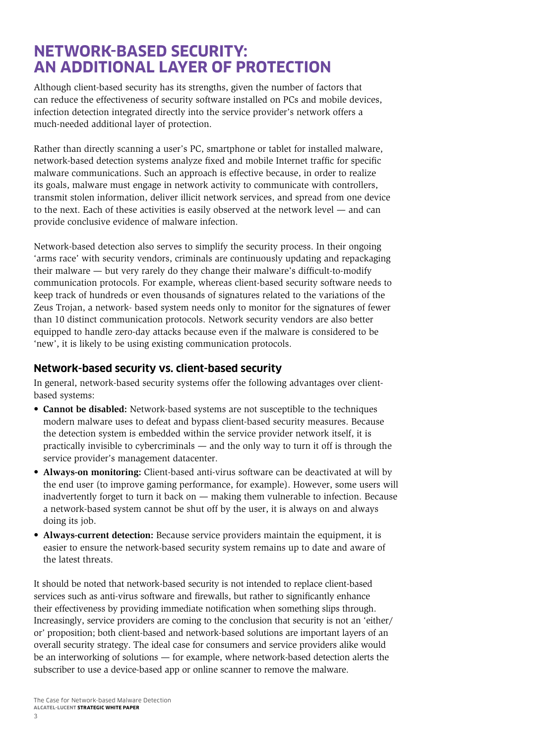### <span id="page-4-0"></span>**Network-based security: An additional layer of protection**

Although client-based security has its strengths, given the number of factors that can reduce the effectiveness of security software installed on PCs and mobile devices, infection detection integrated directly into the service provider's network offers a much-needed additional layer of protection.

Rather than directly scanning a user's PC, smartphone or tablet for installed malware, network-based detection systems analyze fixed and mobile Internet traffic for specific malware communications. Such an approach is effective because, in order to realize its goals, malware must engage in network activity to communicate with controllers, transmit stolen information, deliver illicit network services, and spread from one device to the next. Each of these activities is easily observed at the network level — and can provide conclusive evidence of malware infection.

Network-based detection also serves to simplify the security process. In their ongoing 'arms race' with security vendors, criminals are continuously updating and repackaging their malware — but very rarely do they change their malware's difficult-to-modify communication protocols. For example, whereas client-based security software needs to keep track of hundreds or even thousands of signatures related to the variations of the Zeus Trojan, a network- based system needs only to monitor for the signatures of fewer than 10 distinct communication protocols. Network security vendors are also better equipped to handle zero-day attacks because even if the malware is considered to be 'new', it is likely to be using existing communication protocols.

#### **Network-based security vs. client-based security**

In general, network-based security systems offer the following advantages over clientbased systems:

- • **Cannot be disabled:** Network-based systems are not susceptible to the techniques modern malware uses to defeat and bypass client-based security measures. Because the detection system is embedded within the service provider network itself, it is practically invisible to cybercriminals — and the only way to turn it off is through the service provider's management datacenter.
- **Always-on monitoring:** Client-based anti-virus software can be deactivated at will by the end user (to improve gaming performance, for example). However, some users will inadvertently forget to turn it back on — making them vulnerable to infection. Because a network-based system cannot be shut off by the user, it is always on and always doing its job.
- **Always-current detection:** Because service providers maintain the equipment, it is easier to ensure the network-based security system remains up to date and aware of the latest threats.

It should be noted that network-based security is not intended to replace client-based services such as anti-virus software and firewalls, but rather to significantly enhance their effectiveness by providing immediate notification when something slips through. Increasingly, service providers are coming to the conclusion that security is not an 'either/ or' proposition; both client-based and network-based solutions are important layers of an overall security strategy. The ideal case for consumers and service providers alike would be an interworking of solutions — for example, where network-based detection alerts the subscriber to use a device-based app or online scanner to remove the malware.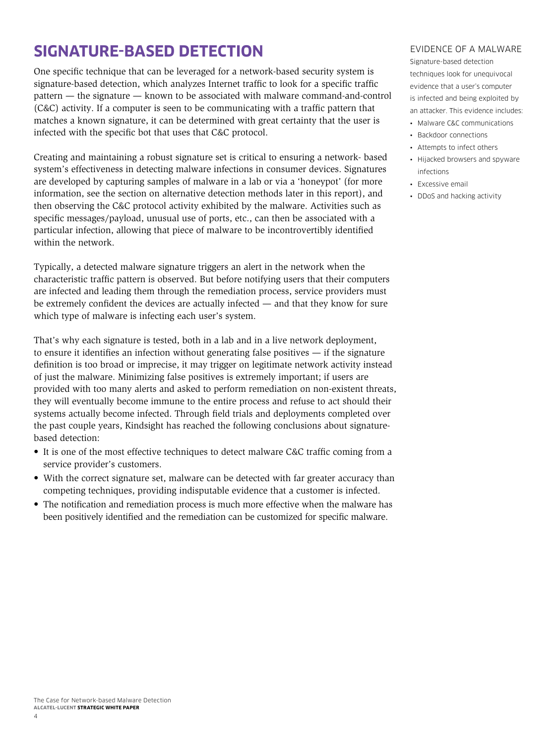# <span id="page-5-0"></span>**Signature-based detection**

One specific technique that can be leveraged for a network-based security system is signature-based detection, which analyzes Internet traffic to look for a specific traffic pattern — the signature — known to be associated with malware command-and-control (C&C) activity. If a computer is seen to be communicating with a traffic pattern that matches a known signature, it can be determined with great certainty that the user is infected with the specific bot that uses that C&C protocol.

Creating and maintaining a robust signature set is critical to ensuring a network- based system's effectiveness in detecting malware infections in consumer devices. Signatures are developed by capturing samples of malware in a lab or via a 'honeypot' (for more information, see the section on alternative detection methods later in this report), and then observing the C&C protocol activity exhibited by the malware. Activities such as specific messages/payload, unusual use of ports, etc., can then be associated with a particular infection, allowing that piece of malware to be incontrovertibly identified within the network.

Typically, a detected malware signature triggers an alert in the network when the characteristic traffic pattern is observed. But before notifying users that their computers are infected and leading them through the remediation process, service providers must be extremely confident the devices are actually infected — and that they know for sure which type of malware is infecting each user's system.

That's why each signature is tested, both in a lab and in a live network deployment, to ensure it identifies an infection without generating false positives — if the signature definition is too broad or imprecise, it may trigger on legitimate network activity instead of just the malware. Minimizing false positives is extremely important; if users are provided with too many alerts and asked to perform remediation on non-existent threats, they will eventually become immune to the entire process and refuse to act should their systems actually become infected. Through field trials and deployments completed over the past couple years, Kindsight has reached the following conclusions about signaturebased detection:

- It is one of the most effective techniques to detect malware C&C traffic coming from a service provider's customers.
- With the correct signature set, malware can be detected with far greater accuracy than competing techniques, providing indisputable evidence that a customer is infected.
- The notification and remediation process is much more effective when the malware has been positively identified and the remediation can be customized for specific malware.

#### EVIDENCE OF A MALWARE

Signature-based detection techniques look for unequivocal evidence that a user's computer is infected and being exploited by an attacker. This evidence includes:

- • Malware C&C communications
- • Backdoor connections
- • Attempts to infect others
- • Hijacked browsers and spyware infections
- Excessive email
- DDoS and hacking activity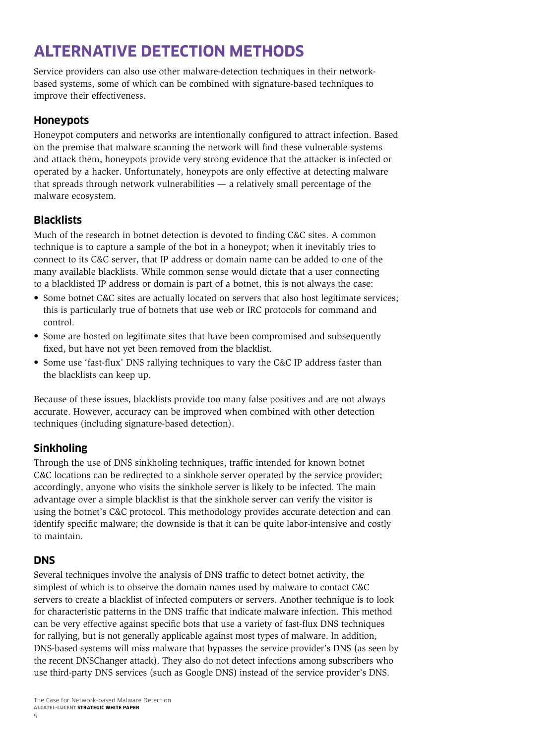# <span id="page-6-0"></span>**Alternative detection methods**

Service providers can also use other malware-detection techniques in their networkbased systems, some of which can be combined with signature-based techniques to improve their effectiveness.

#### **Honeypots**

Honeypot computers and networks are intentionally configured to attract infection. Based on the premise that malware scanning the network will find these vulnerable systems and attack them, honeypots provide very strong evidence that the attacker is infected or operated by a hacker. Unfortunately, honeypots are only effective at detecting malware that spreads through network vulnerabilities — a relatively small percentage of the malware ecosystem.

#### **Blacklists**

Much of the research in botnet detection is devoted to finding C&C sites. A common technique is to capture a sample of the bot in a honeypot; when it inevitably tries to connect to its C&C server, that IP address or domain name can be added to one of the many available blacklists. While common sense would dictate that a user connecting to a blacklisted IP address or domain is part of a botnet, this is not always the case:

- Some botnet C&C sites are actually located on servers that also host legitimate services; this is particularly true of botnets that use web or IRC protocols for command and control.
- Some are hosted on legitimate sites that have been compromised and subsequently fixed, but have not yet been removed from the blacklist.
- Some use 'fast-flux' DNS rallying techniques to vary the C&C IP address faster than the blacklists can keep up.

Because of these issues, blacklists provide too many false positives and are not always accurate. However, accuracy can be improved when combined with other detection techniques (including signature-based detection).

#### **Sinkholing**

Through the use of DNS sinkholing techniques, traffic intended for known botnet C&C locations can be redirected to a sinkhole server operated by the service provider; accordingly, anyone who visits the sinkhole server is likely to be infected. The main advantage over a simple blacklist is that the sinkhole server can verify the visitor is using the botnet's C&C protocol. This methodology provides accurate detection and can identify specific malware; the downside is that it can be quite labor-intensive and costly to maintain.

#### **DNS**

Several techniques involve the analysis of DNS traffic to detect botnet activity, the simplest of which is to observe the domain names used by malware to contact C&C servers to create a blacklist of infected computers or servers. Another technique is to look for characteristic patterns in the DNS traffic that indicate malware infection. This method can be very effective against specific bots that use a variety of fast-flux DNS techniques for rallying, but is not generally applicable against most types of malware. In addition, DNS-based systems will miss malware that bypasses the service provider's DNS (as seen by the recent DNSChanger attack). They also do not detect infections among subscribers who use third-party DNS services (such as Google DNS) instead of the service provider's DNS.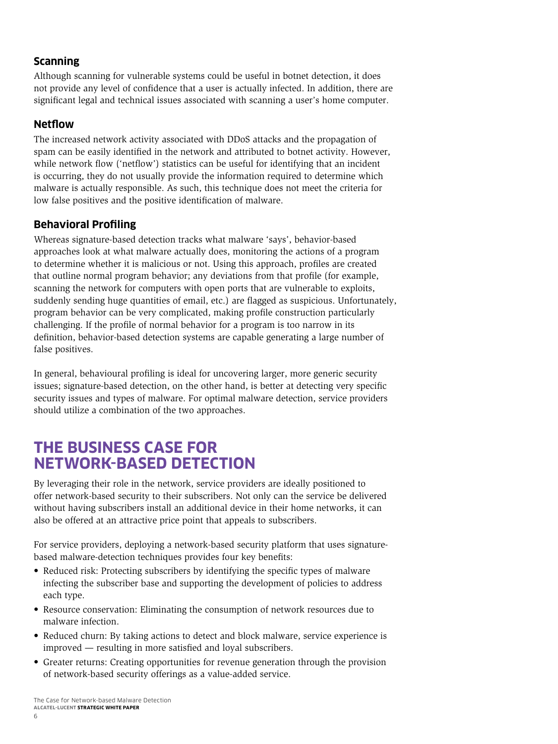#### <span id="page-7-0"></span>**Scanning**

Although scanning for vulnerable systems could be useful in botnet detection, it does not provide any level of confidence that a user is actually infected. In addition, there are significant legal and technical issues associated with scanning a user's home computer.

#### **Netflow**

The increased network activity associated with DDoS attacks and the propagation of spam can be easily identified in the network and attributed to botnet activity. However, while network flow ('netflow') statistics can be useful for identifying that an incident is occurring, they do not usually provide the information required to determine which malware is actually responsible. As such, this technique does not meet the criteria for low false positives and the positive identification of malware.

#### **Behavioral Profiling**

Whereas signature-based detection tracks what malware 'says', behavior-based approaches look at what malware actually does, monitoring the actions of a program to determine whether it is malicious or not. Using this approach, profiles are created that outline normal program behavior; any deviations from that profile (for example, scanning the network for computers with open ports that are vulnerable to exploits, suddenly sending huge quantities of email, etc.) are flagged as suspicious. Unfortunately, program behavior can be very complicated, making profile construction particularly challenging. If the profile of normal behavior for a program is too narrow in its definition, behavior-based detection systems are capable generating a large number of false positives.

In general, behavioural profiling is ideal for uncovering larger, more generic security issues; signature-based detection, on the other hand, is better at detecting very specific security issues and types of malware. For optimal malware detection, service providers should utilize a combination of the two approaches.

### **The business case for network-based detection**

By leveraging their role in the network, service providers are ideally positioned to offer network-based security to their subscribers. Not only can the service be delivered without having subscribers install an additional device in their home networks, it can also be offered at an attractive price point that appeals to subscribers.

For service providers, deploying a network-based security platform that uses signaturebased malware-detection techniques provides four key benefits:

- Reduced risk: Protecting subscribers by identifying the specific types of malware infecting the subscriber base and supporting the development of policies to address each type.
- Resource conservation: Eliminating the consumption of network resources due to malware infection.
- • Reduced churn: By taking actions to detect and block malware, service experience is improved — resulting in more satisfied and loyal subscribers.
- • Greater returns: Creating opportunities for revenue generation through the provision of network-based security offerings as a value-added service.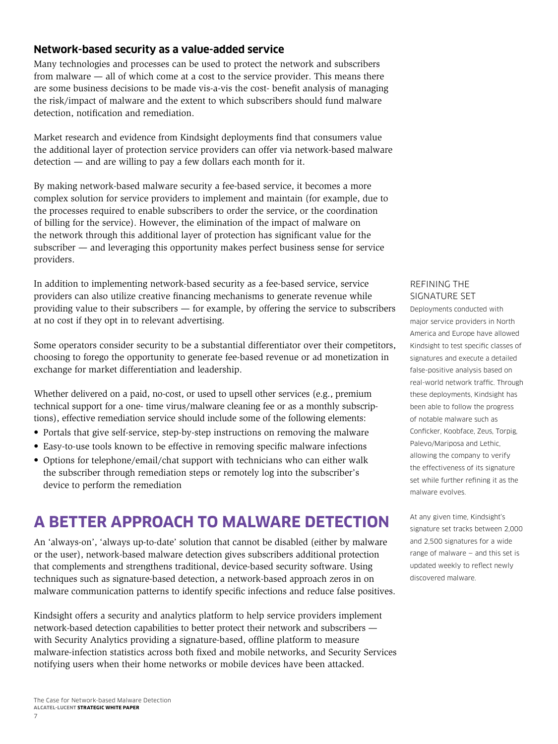#### <span id="page-8-0"></span>**Network-based security as a value-added service**

Many technologies and processes can be used to protect the network and subscribers from malware — all of which come at a cost to the service provider. This means there are some business decisions to be made vis-a-vis the cost- benefit analysis of managing the risk/impact of malware and the extent to which subscribers should fund malware detection, notification and remediation.

Market research and evidence from Kindsight deployments find that consumers value the additional layer of protection service providers can offer via network-based malware detection — and are willing to pay a few dollars each month for it.

By making network-based malware security a fee-based service, it becomes a more complex solution for service providers to implement and maintain (for example, due to the processes required to enable subscribers to order the service, or the coordination of billing for the service). However, the elimination of the impact of malware on the network through this additional layer of protection has significant value for the subscriber — and leveraging this opportunity makes perfect business sense for service providers.

In addition to implementing network-based security as a fee-based service, service providers can also utilize creative financing mechanisms to generate revenue while providing value to their subscribers — for example, by offering the service to subscribers at no cost if they opt in to relevant advertising.

Some operators consider security to be a substantial differentiator over their competitors, choosing to forego the opportunity to generate fee-based revenue or ad monetization in exchange for market differentiation and leadership.

Whether delivered on a paid, no-cost, or used to upsell other services (e.g., premium technical support for a one- time virus/malware cleaning fee or as a monthly subscriptions), effective remediation service should include some of the following elements:

- Portals that give self-service, step-by-step instructions on removing the malware
- Easy-to-use tools known to be effective in removing specific malware infections
- • Options for telephone/email/chat support with technicians who can either walk the subscriber through remediation steps or remotely log into the subscriber's device to perform the remediation

### **A better approach to malware detection**

An 'always-on', 'always up-to-date' solution that cannot be disabled (either by malware or the user), network-based malware detection gives subscribers additional protection that complements and strengthens traditional, device-based security software. Using techniques such as signature-based detection, a network-based approach zeros in on malware communication patterns to identify specific infections and reduce false positives.

Kindsight offers a security and analytics platform to help service providers implement network-based detection capabilities to better protect their network and subscribers with Security Analytics providing a signature-based, offline platform to measure malware-infection statistics across both fixed and mobile networks, and Security Services notifying users when their home networks or mobile devices have been attacked.

#### REFINING THE SIGNATURE SET

Deployments conducted with major service providers in North America and Europe have allowed Kindsight to test specific classes of signatures and execute a detailed false-positive analysis based on real-world network traffic. Through these deployments, Kindsight has been able to follow the progress of notable malware such as Conficker, Koobface, Zeus, Torpig, Palevo/Mariposa and Lethic, allowing the company to verify the effectiveness of its signature set while further refining it as the malware evolves.

At any given time, Kindsight's signature set tracks between 2,000 and 2,500 signatures for a wide range of malware — and this set is updated weekly to reflect newly discovered malware.